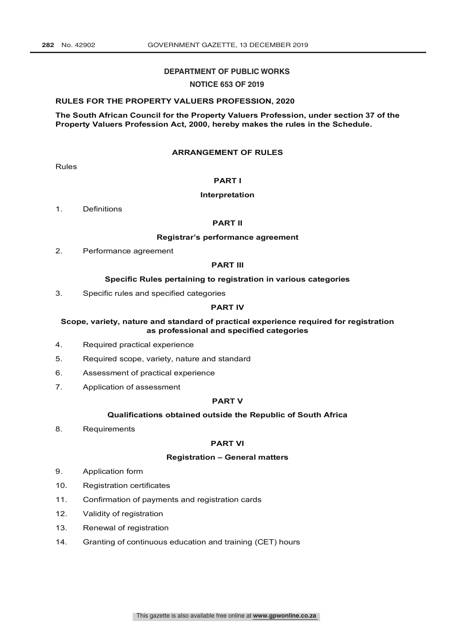#### **DEPARTMENT OF PUBLIC WORKS**

#### **NOTICE 653 OF 2019**

#### **RULES FOR THE PROPERTY VALUERS PROFESSION, 2020**

**The South African Council for the Property Valuers Profession, under section 37 of the Property Valuers Profession Act, 2000, hereby makes the rules in the Schedule.**

#### **ARRANGEMENT OF RULES**

Rules

#### **PART I**

#### **Interpretation**

1. Definitions

#### **PART II**

#### **Registrar's performance agreement**

2. Performance agreement

#### **PART III**

#### **Specific Rules pertaining to registration in various categories**

3. Specific rules and specified categories

#### **PART IV**

#### **Scope, variety, nature and standard of practical experience required for registration as professional and specified categories**

- 4. Required practical experience
- 5. Required scope, variety, nature and standard
- 6. Assessment of practical experience
- 7. Application of assessment

#### **PART V**

#### **Qualifications obtained outside the Republic of South Africa**

8. Requirements

#### **PART VI**

#### **Registration – General matters**

- 9. Application form
- 10. Registration certificates
- 11. Confirmation of payments and registration cards
- 12. Validity of registration
- 13. Renewal of registration
- 14. Granting of continuous education and training (CET) hours

This gazette is also available free online at **www.gpwonline.co.za**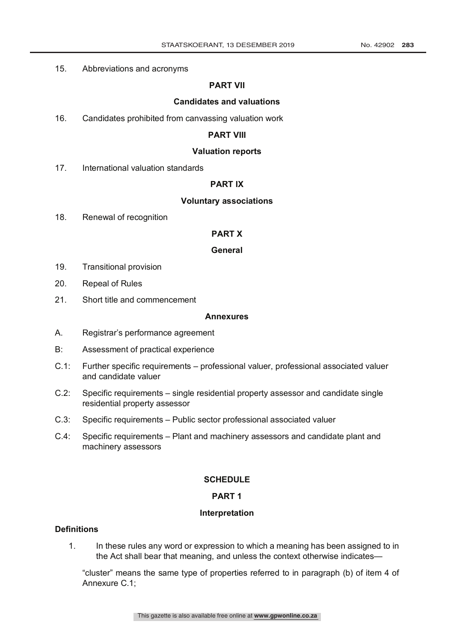## 15. Abbreviations and acronyms

## **PART VII**

#### **Candidates and valuations**

16. Candidates prohibited from canvassing valuation work

## **PART VIII**

#### **Valuation reports**

17. International valuation standards

## **PART IX**

#### **Voluntary associations**

18. Renewal of recognition

## **PART X**

## **General**

- 19. Transitional provision
- 20. Repeal of Rules
- 21. Short title and commencement

#### **Annexures**

- A. Registrar's performance agreement
- B: Assessment of practical experience
- C.1: Further specific requirements professional valuer, professional associated valuer and candidate valuer
- C.2: Specific requirements single residential property assessor and candidate single residential property assessor
- C.3: Specific requirements Public sector professional associated valuer
- C.4: Specific requirements Plant and machinery assessors and candidate plant and machinery assessors

## **SCHEDULE**

# **PART 1**

## **Interpretation**

# **Definitions**

1. In these rules any word or expression to which a meaning has been assigned to in the Act shall bear that meaning, and unless the context otherwise indicates—

"cluster" means the same type of properties referred to in paragraph (b) of item 4 of Annexure C.1;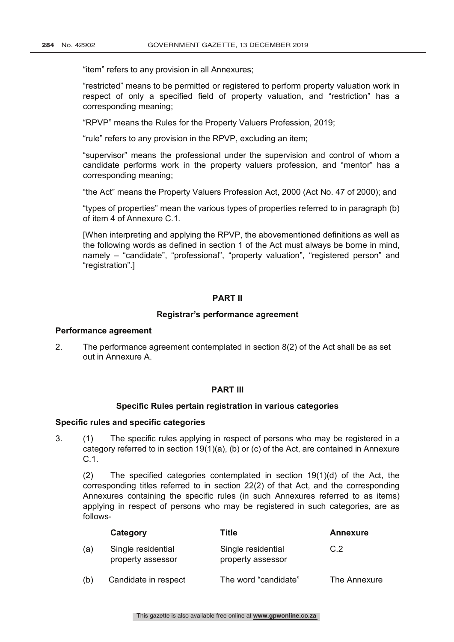"item" refers to any provision in all Annexures;

"restricted" means to be permitted or registered to perform property valuation work in respect of only a specified field of property valuation, and "restriction" has a corresponding meaning;

"RPVP" means the Rules for the Property Valuers Profession, 2019;

"rule" refers to any provision in the RPVP, excluding an item;

"supervisor" means the professional under the supervision and control of whom a candidate performs work in the property valuers profession, and "mentor" has a corresponding meaning;

"the Act" means the Property Valuers Profession Act, 2000 (Act No. 47 of 2000); and

"types of properties" mean the various types of properties referred to in paragraph (b) of item 4 of Annexure C.1.

[When interpreting and applying the RPVP, the abovementioned definitions as well as the following words as defined in section 1 of the Act must always be borne in mind, namely – "candidate", "professional", "property valuation", "registered person" and "registration".]

## **PART II**

## **Registrar's performance agreement**

#### **Performance agreement**

2. The performance agreement contemplated in section 8(2) of the Act shall be as set out in Annexure A.

## **PART III**

## **Specific Rules pertain registration in various categories**

## **Specific rules and specific categories**

3. (1) The specific rules applying in respect of persons who may be registered in a category referred to in section 19(1)(a), (b) or (c) of the Act, are contained in Annexure C.1.

(2) The specified categories contemplated in section 19(1)(d) of the Act, the corresponding titles referred to in section 22(2) of that Act, and the corresponding Annexures containing the specific rules (in such Annexures referred to as items) applying in respect of persons who may be registered in such categories, are as follows-

|     | Category                                | Title                                   | <b>Annexure</b> |
|-----|-----------------------------------------|-----------------------------------------|-----------------|
| (a) | Single residential<br>property assessor | Single residential<br>property assessor | C.2             |
| (b) | Candidate in respect                    | The word "candidate"                    | The Annexure    |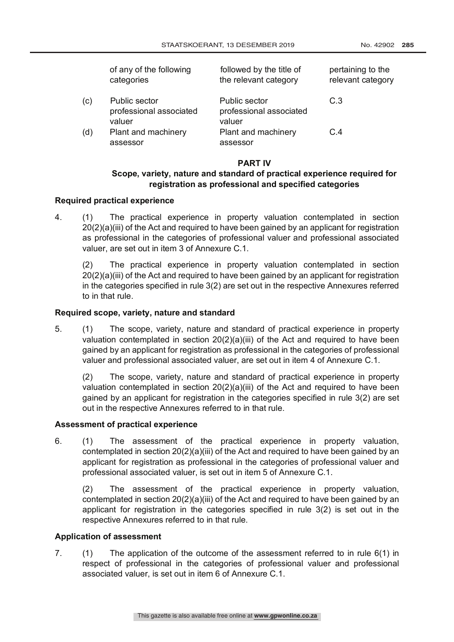|     | of any of the following<br>categories              | followed by the title of<br>the relevant category  | pertaining to the<br>relevant category |
|-----|----------------------------------------------------|----------------------------------------------------|----------------------------------------|
| (c) | Public sector<br>professional associated<br>valuer | Public sector<br>professional associated<br>valuer | C.3                                    |
| (d) | Plant and machinery<br>assessor                    | Plant and machinery<br>assessor                    | C.4                                    |

## **PART IV**

# **Scope, variety, nature and standard of practical experience required for registration as professional and specified categories**

## **Required practical experience**

4. (1) The practical experience in property valuation contemplated in section 20(2)(a)(iii) of the Act and required to have been gained by an applicant for registration as professional in the categories of professional valuer and professional associated valuer, are set out in item 3 of Annexure C.1.

(2) The practical experience in property valuation contemplated in section 20(2)(a)(iii) of the Act and required to have been gained by an applicant for registration in the categories specified in rule 3(2) are set out in the respective Annexures referred to in that rule.

## **Required scope, variety, nature and standard**

5. (1) The scope, variety, nature and standard of practical experience in property valuation contemplated in section  $20(2)(a)(iii)$  of the Act and required to have been gained by an applicant for registration as professional in the categories of professional valuer and professional associated valuer, are set out in item 4 of Annexure C.1.

(2) The scope, variety, nature and standard of practical experience in property valuation contemplated in section 20(2)(a)(iii) of the Act and required to have been gained by an applicant for registration in the categories specified in rule 3(2) are set out in the respective Annexures referred to in that rule.

## **Assessment of practical experience**

6. (1) The assessment of the practical experience in property valuation, contemplated in section 20(2)(a)(iii) of the Act and required to have been gained by an applicant for registration as professional in the categories of professional valuer and professional associated valuer, is set out in item 5 of Annexure C.1.

(2) The assessment of the practical experience in property valuation, contemplated in section 20(2)(a)(iii) of the Act and required to have been gained by an applicant for registration in the categories specified in rule 3(2) is set out in the respective Annexures referred to in that rule.

## **Application of assessment**

7. (1) The application of the outcome of the assessment referred to in rule 6(1) in respect of professional in the categories of professional valuer and professional associated valuer, is set out in item 6 of Annexure C.1.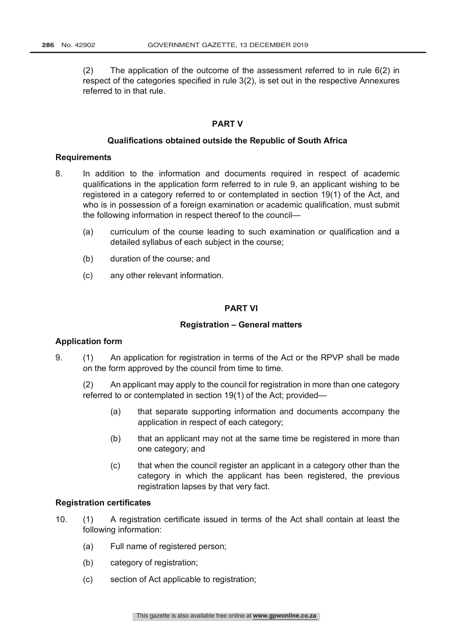(2) The application of the outcome of the assessment referred to in rule  $6(2)$  in respect of the categories specified in rule 3(2), is set out in the respective Annexures referred to in that rule.

## **PART V**

#### **Qualifications obtained outside the Republic of South Africa**

#### **Requirements**

- 8. In addition to the information and documents required in respect of academic qualifications in the application form referred to in rule 9, an applicant wishing to be registered in a category referred to or contemplated in section 19(1) of the Act, and who is in possession of a foreign examination or academic qualification, must submit the following information in respect thereof to the council—
	- (a) curriculum of the course leading to such examination or qualification and a detailed syllabus of each subject in the course;
	- (b) duration of the course; and
	- (c) any other relevant information.

## **PART VI**

#### **Registration – General matters**

#### **Application form**

9. (1) An application for registration in terms of the Act or the RPVP shall be made on the form approved by the council from time to time.

(2) An applicant may apply to the council for registration in more than one category referred to or contemplated in section 19(1) of the Act; provided—

- (a) that separate supporting information and documents accompany the application in respect of each category;
- (b) that an applicant may not at the same time be registered in more than one category; and
- (c) that when the council register an applicant in a category other than the category in which the applicant has been registered, the previous registration lapses by that very fact.

#### **Registration certificates**

- 10. (1) A registration certificate issued in terms of the Act shall contain at least the following information:
	- (a) Full name of registered person;
	- (b) category of registration;
	- (c) section of Act applicable to registration;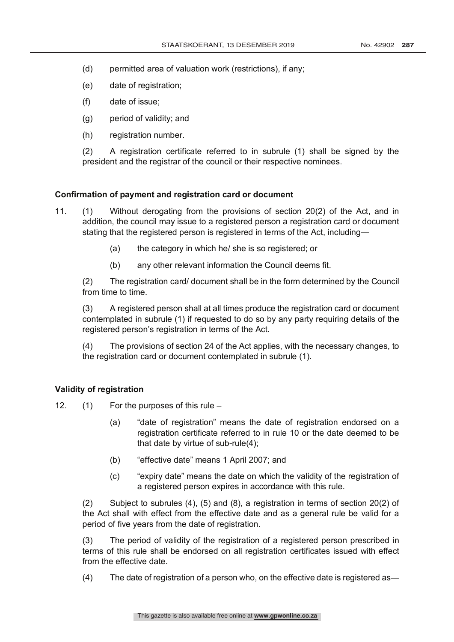- (d) permitted area of valuation work (restrictions), if any;
- (e) date of registration;
- (f) date of issue;
- (g) period of validity; and
- (h) registration number.

(2) A registration certificate referred to in subrule (1) shall be signed by the president and the registrar of the council or their respective nominees.

## **Confirmation of payment and registration card or document**

- 11. (1) Without derogating from the provisions of section 20(2) of the Act, and in addition, the council may issue to a registered person a registration card or document stating that the registered person is registered in terms of the Act, including—
	- (a) the category in which he/ she is so registered; or
	- (b) any other relevant information the Council deems fit.

(2) The registration card/ document shall be in the form determined by the Council from time to time.

(3) A registered person shall at all times produce the registration card or document contemplated in subrule (1) if requested to do so by any party requiring details of the registered person's registration in terms of the Act.

(4) The provisions of section 24 of the Act applies, with the necessary changes, to the registration card or document contemplated in subrule (1).

## **Validity of registration**

12. (1) For the purposes of this rule –

- (a) "date of registration" means the date of registration endorsed on a registration certificate referred to in rule 10 or the date deemed to be that date by virtue of sub-rule(4);
- (b) "effective date" means 1 April 2007; and
- (c) "expiry date" means the date on which the validity of the registration of a registered person expires in accordance with this rule.

(2) Subject to subrules (4), (5) and (8), a registration in terms of section 20(2) of the Act shall with effect from the effective date and as a general rule be valid for a period of five years from the date of registration.

(3) The period of validity of the registration of a registered person prescribed in terms of this rule shall be endorsed on all registration certificates issued with effect from the effective date.

(4) The date of registration of a person who, on the effective date is registered as—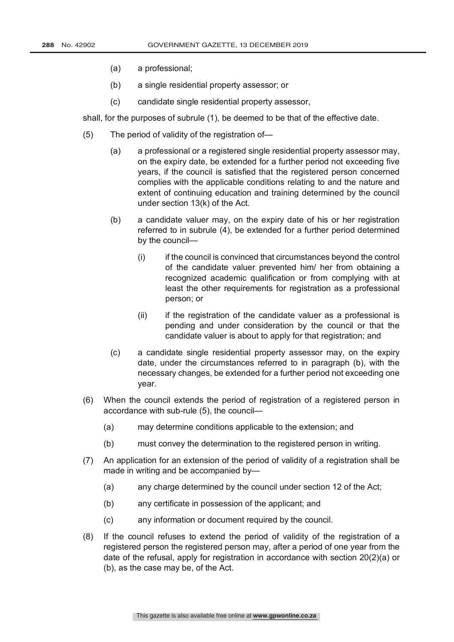- (a) a professional;
- (b) a single residential property assessor; or
- (c) candidate single residential property assessor,

shall, for the purposes of subrule (1), be deemed to be that of the effective date.

- (5) The period of validity of the registration of—
	- (a) a professional or a registered single residential property assessor may, on the expiry date, be extended for a further period not exceeding five years, if the council is satisfied that the registered person concerned complies with the applicable conditions relating to and the nature and extent of continuing education and training determined by the council under section 13(k) of the Act.
	- (b) a candidate valuer may, on the expiry date of his or her registration referred to in subrule (4), be extended for a further period determined by the council—
		- (i) if the council is convinced that circumstances beyond the control of the candidate valuer prevented him/ her from obtaining a recognized academic qualification or from complying with at least the other requirements for registration as a professional person; or
		- (ii) if the registration of the candidate valuer as a professional is pending and under consideration by the council or that the candidate valuer is about to apply for that registration; and
	- (c) a candidate single residential property assessor may, on the expiry date, under the circumstances referred to in paragraph (b), with the necessary changes, be extended for a further period not exceeding one year.
- (6) When the council extends the period of registration of a registered person in accordance with sub-rule (5), the council—
	- (a) may determine conditions applicable to the extension; and
	- (b) must convey the determination to the registered person in writing.
- (7) An application for an extension of the period of validity of a registration shall be made in writing and be accompanied by—
	- (a) any charge determined by the council under section 12 of the Act;
	- (b) any certificate in possession of the applicant; and
	- (c) any information or document required by the council.
- (8) If the council refuses to extend the period of validity of the registration of a registered person the registered person may, after a period of one year from the date of the refusal, apply for registration in accordance with section 20(2)(a) or (b), as the case may be, of the Act.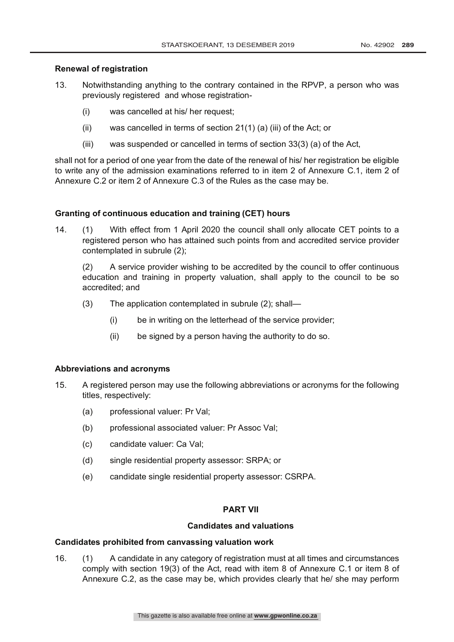# **Renewal of registration**

- 13. Notwithstanding anything to the contrary contained in the RPVP, a person who was previously registered and whose registration-
	- (i) was cancelled at his/ her request;
	- (ii) was cancelled in terms of section 21(1) (a) (iii) of the Act; or
	- (iii) was suspended or cancelled in terms of section 33(3) (a) of the Act,

shall not for a period of one year from the date of the renewal of his/ her registration be eligible to write any of the admission examinations referred to in item 2 of Annexure C.1, item 2 of Annexure C.2 or item 2 of Annexure C.3 of the Rules as the case may be.

# **Granting of continuous education and training (CET) hours**

14. (1) With effect from 1 April 2020 the council shall only allocate CET points to a registered person who has attained such points from and accredited service provider contemplated in subrule (2);

(2) A service provider wishing to be accredited by the council to offer continuous education and training in property valuation, shall apply to the council to be so accredited; and

- (3) The application contemplated in subrule (2); shall—
	- (i) be in writing on the letterhead of the service provider;
	- (ii) be signed by a person having the authority to do so.

## **Abbreviations and acronyms**

- 15. A registered person may use the following abbreviations or acronyms for the following titles, respectively:
	- (a) professional valuer: Pr Val;
	- (b) professional associated valuer: Pr Assoc Val;
	- (c) candidate valuer: Ca Val;
	- (d) single residential property assessor: SRPA; or
	- (e) candidate single residential property assessor: CSRPA.

## **PART VII**

## **Candidates and valuations**

## **Candidates prohibited from canvassing valuation work**

16. (1) A candidate in any category of registration must at all times and circumstances comply with section 19(3) of the Act, read with item 8 of Annexure C.1 or item 8 of Annexure C.2, as the case may be, which provides clearly that he/ she may perform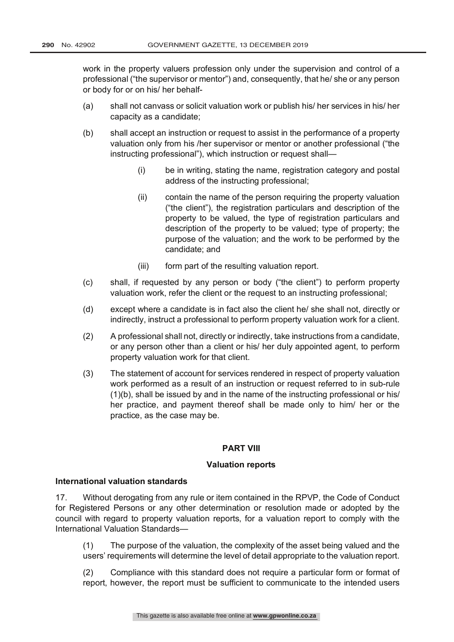work in the property valuers profession only under the supervision and control of a professional ("the supervisor or mentor") and, consequently, that he/ she or any person or body for or on his/ her behalf-

- (a) shall not canvass or solicit valuation work or publish his/ her services in his/ her capacity as a candidate;
- (b) shall accept an instruction or request to assist in the performance of a property valuation only from his /her supervisor or mentor or another professional ("the instructing professional"), which instruction or request shall—
	- (i) be in writing, stating the name, registration category and postal address of the instructing professional;
	- (ii) contain the name of the person requiring the property valuation ("the client"), the registration particulars and description of the property to be valued, the type of registration particulars and description of the property to be valued; type of property; the purpose of the valuation; and the work to be performed by the candidate; and
	- (iii) form part of the resulting valuation report.
- (c) shall, if requested by any person or body ("the client") to perform property valuation work, refer the client or the request to an instructing professional;
- (d) except where a candidate is in fact also the client he/ she shall not, directly or indirectly, instruct a professional to perform property valuation work for a client.
- (2) A professional shall not, directly or indirectly, take instructions from a candidate, or any person other than a client or his/ her duly appointed agent, to perform property valuation work for that client.
- (3) The statement of account for services rendered in respect of property valuation work performed as a result of an instruction or request referred to in sub-rule (1)(b), shall be issued by and in the name of the instructing professional or his/ her practice, and payment thereof shall be made only to him/ her or the practice, as the case may be.

# **PART VIII**

## **Valuation reports**

#### **International valuation standards**

17. Without derogating from any rule or item contained in the RPVP, the Code of Conduct for Registered Persons or any other determination or resolution made or adopted by the council with regard to property valuation reports, for a valuation report to comply with the International Valuation Standards—

- (1) The purpose of the valuation, the complexity of the asset being valued and the users' requirements will determine the level of detail appropriate to the valuation report.
- (2) Compliance with this standard does not require a particular form or format of report, however, the report must be sufficient to communicate to the intended users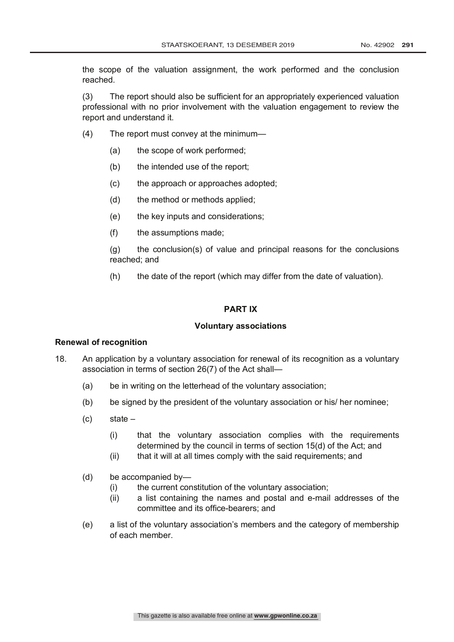the scope of the valuation assignment, the work performed and the conclusion reached.

(3) The report should also be sufficient for an appropriately experienced valuation professional with no prior involvement with the valuation engagement to review the report and understand it.

- (4) The report must convey at the minimum—
	- (a) the scope of work performed;
	- (b) the intended use of the report;
	- (c) the approach or approaches adopted;
	- (d) the method or methods applied;
	- (e) the key inputs and considerations;
	- (f) the assumptions made;

(g) the conclusion(s) of value and principal reasons for the conclusions reached; and

(h) the date of the report (which may differ from the date of valuation).

## **PART IX**

#### **Voluntary associations**

#### **Renewal of recognition**

- 18. An application by a voluntary association for renewal of its recognition as a voluntary association in terms of section 26(7) of the Act shall—
	- (a) be in writing on the letterhead of the voluntary association;
	- (b) be signed by the president of the voluntary association or his/ her nominee;
	- (c) state
		- (i) that the voluntary association complies with the requirements determined by the council in terms of section 15(d) of the Act; and
		- (ii) that it will at all times comply with the said requirements; and
	- (d) be accompanied by—
		- (i) the current constitution of the voluntary association;
		- (ii) a list containing the names and postal and e-mail addresses of the committee and its office-bearers; and
	- (e) a list of the voluntary association's members and the category of membership of each member.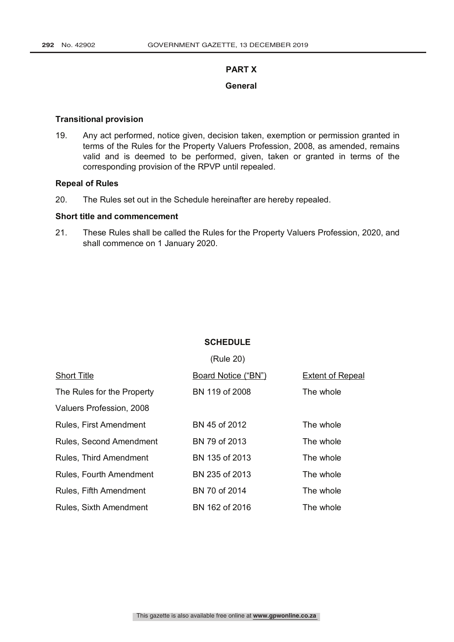# **PART X**

## **General**

#### **Transitional provision**

19. Any act performed, notice given, decision taken, exemption or permission granted in terms of the Rules for the Property Valuers Profession, 2008, as amended, remains valid and is deemed to be performed, given, taken or granted in terms of the corresponding provision of the RPVP until repealed.

## **Repeal of Rules**

20. The Rules set out in the Schedule hereinafter are hereby repealed.

## **Short title and commencement**

21. These Rules shall be called the Rules for the Property Valuers Profession, 2020, and shall commence on 1 January 2020.

## **SCHEDULE**

|                                | (Rule 20)           |                         |
|--------------------------------|---------------------|-------------------------|
| <b>Short Title</b>             | Board Notice ("BN") | <b>Extent of Repeal</b> |
| The Rules for the Property     | BN 119 of 2008      | The whole               |
| Valuers Profession, 2008       |                     |                         |
| Rules, First Amendment         | BN 45 of 2012       | The whole               |
| <b>Rules, Second Amendment</b> | BN 79 of 2013       | The whole               |
| <b>Rules, Third Amendment</b>  | BN 135 of 2013      | The whole               |
| Rules, Fourth Amendment        | BN 235 of 2013      | The whole               |
| Rules, Fifth Amendment         | BN 70 of 2014       | The whole               |
| <b>Rules, Sixth Amendment</b>  | BN 162 of 2016      | The whole               |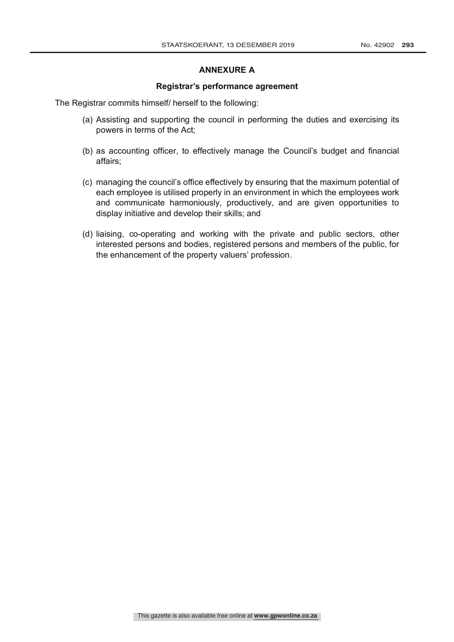## **ANNEXURE A**

#### **Registrar's performance agreement**

The Registrar commits himself/ herself to the following:

- (a) Assisting and supporting the council in performing the duties and exercising its powers in terms of the Act;
- (b) as accounting officer, to effectively manage the Council's budget and financial affairs;
- (c) managing the council's office effectively by ensuring that the maximum potential of each employee is utilised properly in an environment in which the employees work and communicate harmoniously, productively, and are given opportunities to display initiative and develop their skills; and
- (d) liaising, co-operating and working with the private and public sectors, other interested persons and bodies, registered persons and members of the public, for the enhancement of the property valuers' profession.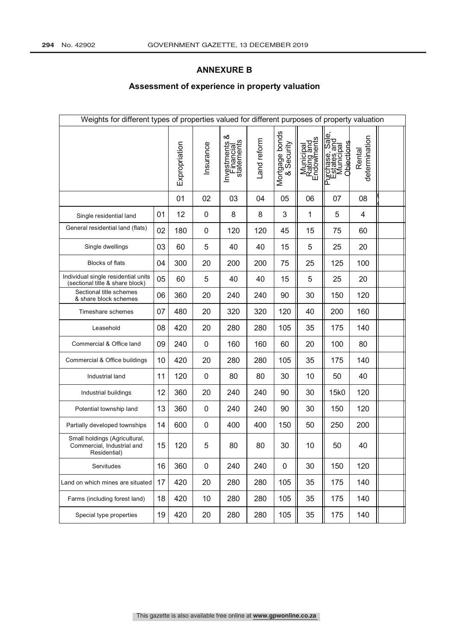# **ANNEXURE B**

# **Assessment of experience in property valuation**

| Weights for different types of properties valued for different purposes of property valuation |    |               |           |                                               |             |                              |                                       |                                                                                                   |                         |  |
|-----------------------------------------------------------------------------------------------|----|---------------|-----------|-----------------------------------------------|-------------|------------------------------|---------------------------------------|---------------------------------------------------------------------------------------------------|-------------------------|--|
|                                                                                               |    | Expropriation | Insurance | య<br>Investments &<br>Financial<br>statements | Land reform | Mortgage bonds<br>& Security | Municipal<br>Rating and<br>Endowments | Ф<br>rchase, Sale<br>states and<br>Municipal<br><b>Objections</b><br>) urchase,<br>Estates a<br>≏ | determination<br>Rental |  |
|                                                                                               |    | 01            | 02        | 03                                            | 04          | 05                           | 06                                    | 07                                                                                                | 08                      |  |
| Single residential land                                                                       | 01 | 12            | 0         | 8                                             | 8           | 3                            | 1                                     | 5                                                                                                 | 4                       |  |
| General residential land (flats)                                                              | 02 | 180           | 0         | 120                                           | 120         | 45                           | 15                                    | 75                                                                                                | 60                      |  |
| Single dwellings                                                                              | 03 | 60            | 5         | 40                                            | 40          | 15                           | 5                                     | 25                                                                                                | 20                      |  |
| Blocks of flats                                                                               | 04 | 300           | 20        | 200                                           | 200         | 75                           | 25                                    | 125                                                                                               | 100                     |  |
| Individual single residential units<br>(sectional title & share block)                        | 05 | 60            | 5         | 40                                            | 40          | 15                           | 5                                     | 25                                                                                                | 20                      |  |
| Sectional title schemes<br>& share block schemes                                              | 06 | 360           | 20        | 240                                           | 240         | 90                           | 30                                    | 150                                                                                               | 120                     |  |
| Timeshare schemes                                                                             | 07 | 480           | 20        | 320                                           | 320         | 120                          | 40                                    | 200                                                                                               | 160                     |  |
| Leasehold                                                                                     | 08 | 420           | 20        | 280                                           | 280         | 105                          | 35                                    | 175                                                                                               | 140                     |  |
| Commercial & Office land                                                                      | 09 | 240           | 0         | 160                                           | 160         | 60                           | 20                                    | 100                                                                                               | 80                      |  |
| Commercial & Office buildings                                                                 | 10 | 420           | 20        | 280                                           | 280         | 105                          | 35                                    | 175                                                                                               | 140                     |  |
| Industrial land                                                                               | 11 | 120           | 0         | 80                                            | 80          | 30                           | 10                                    | 50                                                                                                | 40                      |  |
| Industrial buildings                                                                          | 12 | 360           | 20        | 240                                           | 240         | 90                           | 30                                    | 15k0                                                                                              | 120                     |  |
| Potential township land                                                                       | 13 | 360           | 0         | 240                                           | 240         | 90                           | 30                                    | 150                                                                                               | 120                     |  |
| Partially developed townships                                                                 | 14 | 600           | 0         | 400                                           | 400         | 150                          | 50                                    | 250                                                                                               | 200                     |  |
| Small holdings (Agricultural,<br>Commercial, Industrial and<br>Residential)                   | 15 | 120           | 5         | 80                                            | 80          | 30                           | 10                                    | 50                                                                                                | 40                      |  |
| Servitudes                                                                                    | 16 | 360           | 0         | 240                                           | 240         | $\pmb{0}$                    | 30                                    | 150                                                                                               | 120                     |  |
| Land on which mines are situated                                                              | 17 | 420           | 20        | 280                                           | 280         | 105                          | 35                                    | 175                                                                                               | 140                     |  |
| Farms (including forest land)                                                                 | 18 | 420           | 10        | 280                                           | 280         | 105                          | 35                                    | 175                                                                                               | 140                     |  |
| Special type properties                                                                       | 19 | 420           | 20        | 280                                           | 280         | 105                          | 35                                    | 175                                                                                               | 140                     |  |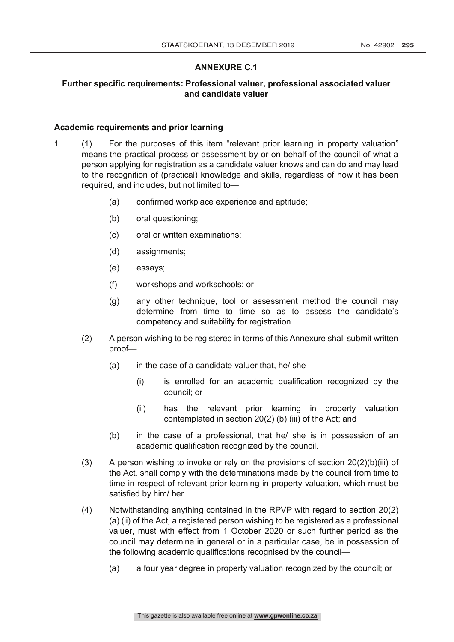# **ANNEXURE C.1**

# **Further specific requirements: Professional valuer, professional associated valuer and candidate valuer**

#### **Academic requirements and prior learning**

- 1. (1) For the purposes of this item "relevant prior learning in property valuation" means the practical process or assessment by or on behalf of the council of what a person applying for registration as a candidate valuer knows and can do and may lead to the recognition of (practical) knowledge and skills, regardless of how it has been required, and includes, but not limited to—
	- (a) confirmed workplace experience and aptitude;
	- (b) oral questioning;
	- (c) oral or written examinations;
	- (d) assignments;
	- (e) essays;
	- (f) workshops and workschools; or
	- (g) any other technique, tool or assessment method the council may determine from time to time so as to assess the candidate's competency and suitability for registration.
	- (2) A person wishing to be registered in terms of this Annexure shall submit written proof—
		- (a) in the case of a candidate valuer that, he/ she—
			- (i) is enrolled for an academic qualification recognized by the council; or
			- (ii) has the relevant prior learning in property valuation contemplated in section 20(2) (b) (iii) of the Act; and
		- (b) in the case of a professional, that he/ she is in possession of an academic qualification recognized by the council.
	- (3) A person wishing to invoke or rely on the provisions of section  $20(2)(b)(iii)$  of the Act, shall comply with the determinations made by the council from time to time in respect of relevant prior learning in property valuation, which must be satisfied by him/ her.
	- (4) Notwithstanding anything contained in the RPVP with regard to section 20(2) (a) (ii) of the Act, a registered person wishing to be registered as a professional valuer, must with effect from 1 October 2020 or such further period as the council may determine in general or in a particular case, be in possession of the following academic qualifications recognised by the council—
		- (a) a four year degree in property valuation recognized by the council; or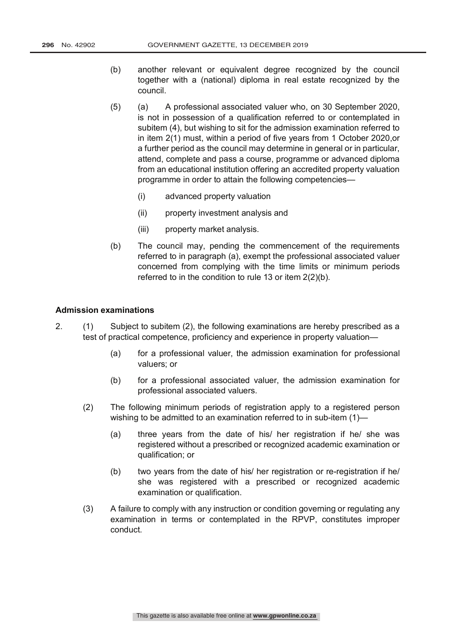- (b) another relevant or equivalent degree recognized by the council together with a (national) diploma in real estate recognized by the council.
- (5) (a) A professional associated valuer who, on 30 September 2020, is not in possession of a qualification referred to or contemplated in subitem (4), but wishing to sit for the admission examination referred to in item 2(1) must, within a period of five years from 1 October 2020,or a further period as the council may determine in general or in particular, attend, complete and pass a course, programme or advanced diploma from an educational institution offering an accredited property valuation programme in order to attain the following competencies—
	- (i) advanced property valuation
	- (ii) property investment analysis and
	- (iii) property market analysis.
- (b) The council may, pending the commencement of the requirements referred to in paragraph (a), exempt the professional associated valuer concerned from complying with the time limits or minimum periods referred to in the condition to rule 13 or item 2(2)(b).

#### **Admission examinations**

- 2. (1) Subject to subitem (2), the following examinations are hereby prescribed as a test of practical competence, proficiency and experience in property valuation—
	- (a) for a professional valuer, the admission examination for professional valuers; or
	- (b) for a professional associated valuer, the admission examination for professional associated valuers.
	- (2) The following minimum periods of registration apply to a registered person wishing to be admitted to an examination referred to in sub-item (1)-
		- (a) three years from the date of his/ her registration if he/ she was registered without a prescribed or recognized academic examination or qualification; or
		- (b) two years from the date of his/ her registration or re-registration if he/ she was registered with a prescribed or recognized academic examination or qualification.
	- (3) A failure to comply with any instruction or condition governing or regulating any examination in terms or contemplated in the RPVP, constitutes improper conduct.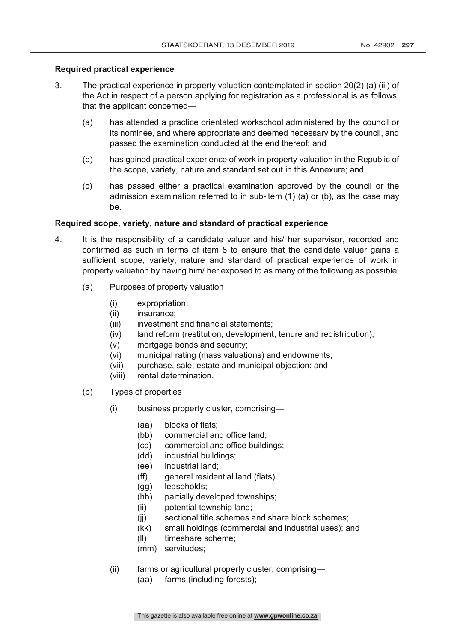# **Required practical experience**

- 3. The practical experience in property valuation contemplated in section 20(2) (a) (iii) of the Act in respect of a person applying for registration as a professional is as follows, that the applicant concerned—
	- (a) has attended a practice orientated workschool administered by the council or its nominee, and where appropriate and deemed necessary by the council, and passed the examination conducted at the end thereof; and
	- (b) has gained practical experience of work in property valuation in the Republic of the scope, variety, nature and standard set out in this Annexure; and
	- (c) has passed either a practical examination approved by the council or the admission examination referred to in sub-item (1) (a) or (b), as the case may be.

# **Required scope, variety, nature and standard of practical experience**

- 4. It is the responsibility of a candidate valuer and his/ her supervisor, recorded and confirmed as such in terms of item 8 to ensure that the candidate valuer gains a sufficient scope, variety, nature and standard of practical experience of work in property valuation by having him/ her exposed to as many of the following as possible:
	- (a) Purposes of property valuation
		- (i) expropriation;
		- (ii) insurance:
		- (iii) investment and financial statements;
		- (iv) land reform (restitution, development, tenure and redistribution);
		- (v) mortgage bonds and security;
		- (vi) municipal rating (mass valuations) and endowments;
		- (vii) purchase, sale, estate and municipal objection; and
		- (viii) rental determination.
	- (b) Types of properties
		- (i) business property cluster, comprising—
			- (aa) blocks of flats;
			- (bb) commercial and office land;
			- (cc) commercial and office buildings;
			- (dd) industrial buildings;
			- (ee) industrial land;
			- (ff) general residential land (flats);
			- (gg) leaseholds;
			- (hh) partially developed townships;
			- (ii) potential township land;
			- (jj) sectional title schemes and share block schemes;
			- (kk) small holdings (commercial and industrial uses); and
			- (ll) timeshare scheme;
			- (mm) servitudes;
		- (ii) farms or agricultural property cluster, comprising—
			- (aa) farms (including forests);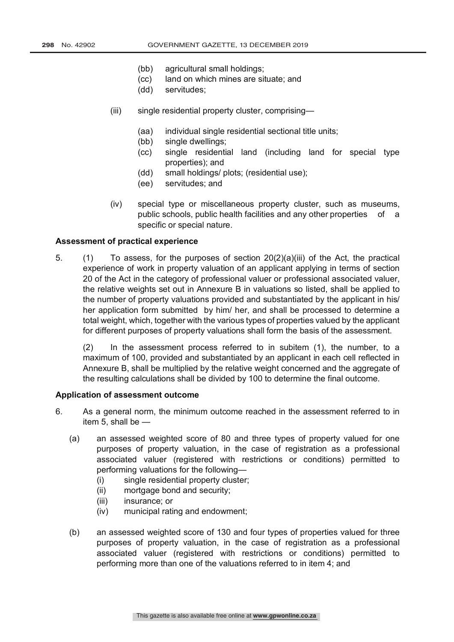- (bb) agricultural small holdings;
- (cc) land on which mines are situate; and
- (dd) servitudes;
- (iii) single residential property cluster, comprising—
	- (aa) individual single residential sectional title units;
	- (bb) single dwellings;
	- (cc) single residential land (including land for special type properties); and
	- (dd) small holdings/ plots; (residential use);
	- (ee) servitudes; and
- (iv) special type or miscellaneous property cluster, such as museums, public schools, public health facilities and any other properties of a specific or special nature.

## **Assessment of practical experience**

5. (1) To assess, for the purposes of section 20(2)(a)(iii) of the Act, the practical experience of work in property valuation of an applicant applying in terms of section 20 of the Act in the category of professional valuer or professional associated valuer, the relative weights set out in Annexure B in valuations so listed, shall be applied to the number of property valuations provided and substantiated by the applicant in his/ her application form submitted by him/ her, and shall be processed to determine a total weight, which, together with the various types of properties valued by the applicant for different purposes of property valuations shall form the basis of the assessment.

(2) In the assessment process referred to in subitem (1), the number, to a maximum of 100, provided and substantiated by an applicant in each cell reflected in Annexure B, shall be multiplied by the relative weight concerned and the aggregate of the resulting calculations shall be divided by 100 to determine the final outcome.

## **Application of assessment outcome**

- 6. As a general norm, the minimum outcome reached in the assessment referred to in item 5, shall be —
	- (a) an assessed weighted score of 80 and three types of property valued for one purposes of property valuation, in the case of registration as a professional associated valuer (registered with restrictions or conditions) permitted to performing valuations for the following—
		- (i) single residential property cluster;
		- (ii) mortgage bond and security;
		- (iii) insurance; or
		- (iv) municipal rating and endowment;
	- (b) an assessed weighted score of 130 and four types of properties valued for three purposes of property valuation, in the case of registration as a professional associated valuer (registered with restrictions or conditions) permitted to performing more than one of the valuations referred to in item 4; and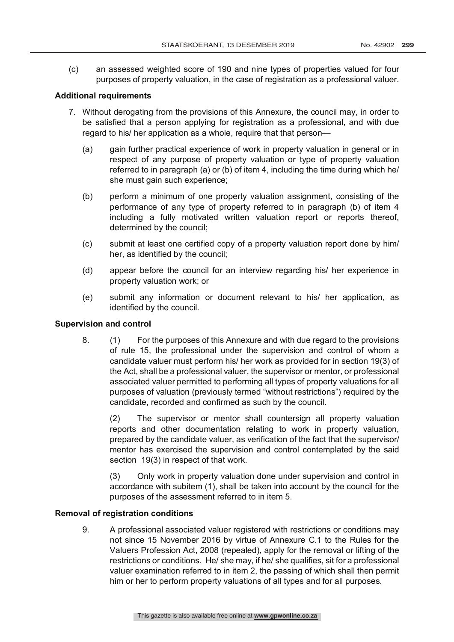(c) an assessed weighted score of 190 and nine types of properties valued for four purposes of property valuation, in the case of registration as a professional valuer.

## **Additional requirements**

- 7. Without derogating from the provisions of this Annexure, the council may, in order to be satisfied that a person applying for registration as a professional, and with due regard to his/ her application as a whole, require that that person-
	- (a) gain further practical experience of work in property valuation in general or in respect of any purpose of property valuation or type of property valuation referred to in paragraph (a) or (b) of item 4, including the time during which he/ she must gain such experience;
	- (b) perform a minimum of one property valuation assignment, consisting of the performance of any type of property referred to in paragraph (b) of item 4 including a fully motivated written valuation report or reports thereof, determined by the council;
	- (c) submit at least one certified copy of a property valuation report done by him/ her, as identified by the council;
	- (d) appear before the council for an interview regarding his/ her experience in property valuation work; or
	- (e) submit any information or document relevant to his/ her application, as identified by the council.

## **Supervision and control**

8. (1) For the purposes of this Annexure and with due regard to the provisions of rule 15, the professional under the supervision and control of whom a candidate valuer must perform his/ her work as provided for in section 19(3) of the Act, shall be a professional valuer, the supervisor or mentor, or professional associated valuer permitted to performing all types of property valuations for all purposes of valuation (previously termed "without restrictions") required by the candidate, recorded and confirmed as such by the council.

(2) The supervisor or mentor shall countersign all property valuation reports and other documentation relating to work in property valuation, prepared by the candidate valuer, as verification of the fact that the supervisor/ mentor has exercised the supervision and control contemplated by the said section 19(3) in respect of that work.

(3) Only work in property valuation done under supervision and control in accordance with subitem (1), shall be taken into account by the council for the purposes of the assessment referred to in item 5.

## **Removal of registration conditions**

9. A professional associated valuer registered with restrictions or conditions may not since 15 November 2016 by virtue of Annexure C.1 to the Rules for the Valuers Profession Act, 2008 (repealed), apply for the removal or lifting of the restrictions or conditions. He/ she may, if he/ she qualifies, sit for a professional valuer examination referred to in item 2, the passing of which shall then permit him or her to perform property valuations of all types and for all purposes.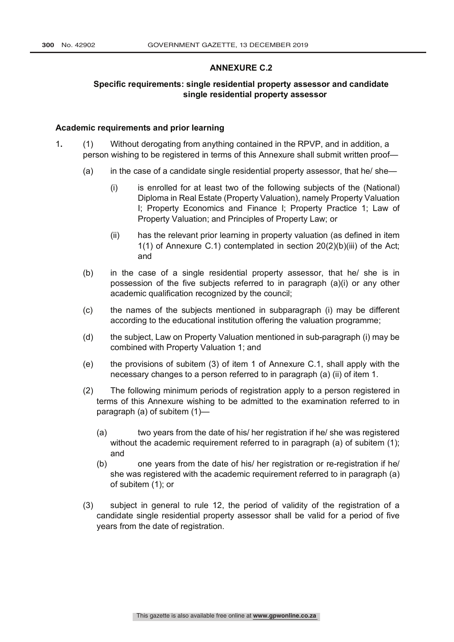#### **ANNEXURE C.2**

# **Specific requirements: single residential property assessor and candidate single residential property assessor**

#### **Academic requirements and prior learning**

- 1**.** (1) Without derogating from anything contained in the RPVP, and in addition, a person wishing to be registered in terms of this Annexure shall submit written proof—
	- (a) in the case of a candidate single residential property assessor, that he/ she—
		- (i) is enrolled for at least two of the following subjects of the (National) Diploma in Real Estate (Property Valuation), namely Property Valuation I; Property Economics and Finance I; Property Practice 1; Law of Property Valuation; and Principles of Property Law; or
		- (ii) has the relevant prior learning in property valuation (as defined in item 1(1) of Annexure C.1) contemplated in section 20(2)(b)(iii) of the Act; and
	- (b) in the case of a single residential property assessor, that he/ she is in possession of the five subjects referred to in paragraph (a)(i) or any other academic qualification recognized by the council;
	- (c) the names of the subjects mentioned in subparagraph (i) may be different according to the educational institution offering the valuation programme;
	- (d) the subject, Law on Property Valuation mentioned in sub-paragraph (i) may be combined with Property Valuation 1; and
	- (e) the provisions of subitem (3) of item 1 of Annexure C.1, shall apply with the necessary changes to a person referred to in paragraph (a) (ii) of item 1.
	- (2) The following minimum periods of registration apply to a person registered in terms of this Annexure wishing to be admitted to the examination referred to in paragraph (a) of subitem (1)—
		- (a) two years from the date of his/ her registration if he/ she was registered without the academic requirement referred to in paragraph (a) of subitem (1); and
		- (b) one years from the date of his/ her registration or re-registration if he/ she was registered with the academic requirement referred to in paragraph (a) of subitem (1); or
	- (3) subject in general to rule 12, the period of validity of the registration of a candidate single residential property assessor shall be valid for a period of five years from the date of registration.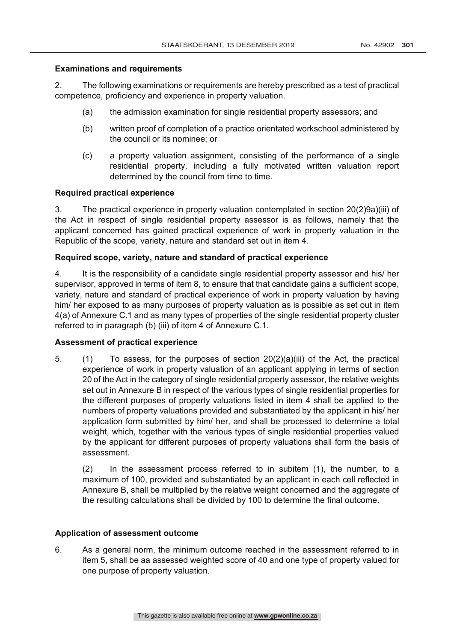## **Examinations and requirements**

2. The following examinations or requirements are hereby prescribed as a test of practical competence, proficiency and experience in property valuation.

- (a) the admission examination for single residential property assessors; and
- (b) written proof of completion of a practice orientated workschool administered by the council or its nominee; or
- (c) a property valuation assignment, consisting of the performance of a single residential property, including a fully motivated written valuation report determined by the council from time to time.

# **Required practical experience**

3. The practical experience in property valuation contemplated in section 20(2)9a)(iii) of the Act in respect of single residential property assessor is as follows, namely that the applicant concerned has gained practical experience of work in property valuation in the Republic of the scope, variety, nature and standard set out in item 4.

# **Required scope, variety, nature and standard of practical experience**

4. It is the responsibility of a candidate single residential property assessor and his/ her supervisor, approved in terms of item 8, to ensure that that candidate gains a sufficient scope, variety, nature and standard of practical experience of work in property valuation by having him/ her exposed to as many purposes of property valuation as is possible as set out in item 4(a) of Annexure C.1 and as many types of properties of the single residential property cluster referred to in paragraph (b) (iii) of item 4 of Annexure C.1.

## **Assessment of practical experience**

5. (1) To assess, for the purposes of section 20(2)(a)(iii) of the Act, the practical experience of work in property valuation of an applicant applying in terms of section 20 of the Act in the category of single residential property assessor, the relative weights set out in Annexure B in respect of the various types of single residential properties for the different purposes of property valuations listed in item 4 shall be applied to the numbers of property valuations provided and substantiated by the applicant in his/ her application form submitted by him/ her, and shall be processed to determine a total weight, which, together with the various types of single residential properties valued by the applicant for different purposes of property valuations shall form the basis of assessment.

(2) In the assessment process referred to in subitem (1), the number, to a maximum of 100, provided and substantiated by an applicant in each cell reflected in Annexure B, shall be multiplied by the relative weight concerned and the aggregate of the resulting calculations shall be divided by 100 to determine the final outcome.

## **Application of assessment outcome**

6. As a general norm, the minimum outcome reached in the assessment referred to in item 5, shall be aa assessed weighted score of 40 and one type of property valued for one purpose of property valuation.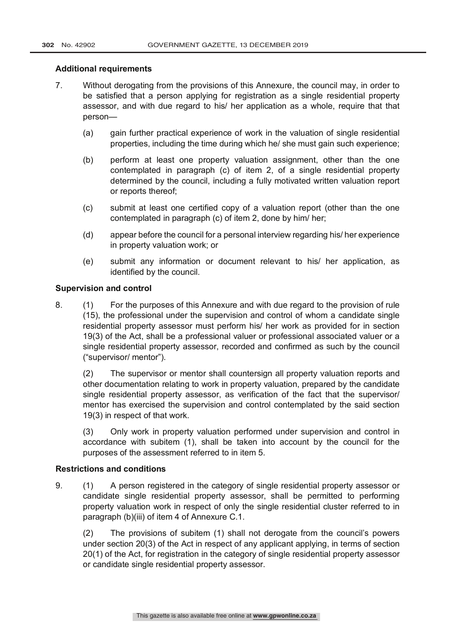## **Additional requirements**

- 7. Without derogating from the provisions of this Annexure, the council may, in order to be satisfied that a person applying for registration as a single residential property assessor, and with due regard to his/ her application as a whole, require that that person—
	- (a) gain further practical experience of work in the valuation of single residential properties, including the time during which he/ she must gain such experience;
	- (b) perform at least one property valuation assignment, other than the one contemplated in paragraph (c) of item 2, of a single residential property determined by the council, including a fully motivated written valuation report or reports thereof;
	- (c) submit at least one certified copy of a valuation report (other than the one contemplated in paragraph (c) of item 2, done by him/ her;
	- (d) appear before the council for a personal interview regarding his/ her experience in property valuation work; or
	- (e) submit any information or document relevant to his/ her application, as identified by the council.

## **Supervision and control**

8. (1) For the purposes of this Annexure and with due regard to the provision of rule (15), the professional under the supervision and control of whom a candidate single residential property assessor must perform his/ her work as provided for in section 19(3) of the Act, shall be a professional valuer or professional associated valuer or a single residential property assessor, recorded and confirmed as such by the council ("supervisor/ mentor").

(2) The supervisor or mentor shall countersign all property valuation reports and other documentation relating to work in property valuation, prepared by the candidate single residential property assessor, as verification of the fact that the supervisor/ mentor has exercised the supervision and control contemplated by the said section 19(3) in respect of that work.

(3) Only work in property valuation performed under supervision and control in accordance with subitem (1), shall be taken into account by the council for the purposes of the assessment referred to in item 5.

## **Restrictions and conditions**

9. (1) A person registered in the category of single residential property assessor or candidate single residential property assessor, shall be permitted to performing property valuation work in respect of only the single residential cluster referred to in paragraph (b)(iii) of item 4 of Annexure C.1.

(2) The provisions of subitem (1) shall not derogate from the council's powers under section 20(3) of the Act in respect of any applicant applying, in terms of section 20(1) of the Act, for registration in the category of single residential property assessor or candidate single residential property assessor.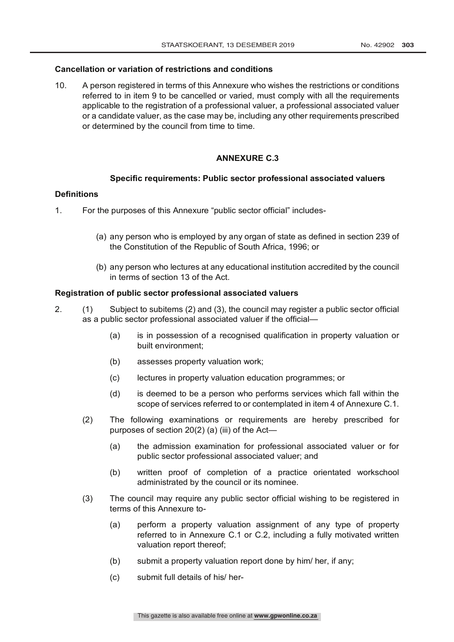## **Cancellation or variation of restrictions and conditions**

10. A person registered in terms of this Annexure who wishes the restrictions or conditions referred to in item 9 to be cancelled or varied, must comply with all the requirements applicable to the registration of a professional valuer, a professional associated valuer or a candidate valuer, as the case may be, including any other requirements prescribed or determined by the council from time to time.

# **ANNEXURE C.3**

#### **Specific requirements: Public sector professional associated valuers**

## **Definitions**

- 1. For the purposes of this Annexure "public sector official" includes-
	- (a) any person who is employed by any organ of state as defined in section 239 of the Constitution of the Republic of South Africa, 1996; or
	- (b) any person who lectures at any educational institution accredited by the council in terms of section 13 of the Act.

#### **Registration of public sector professional associated valuers**

- 2. (1) Subject to subitems (2) and (3), the council may register a public sector official as a public sector professional associated valuer if the official—
	- (a) is in possession of a recognised qualification in property valuation or built environment;
	- (b) assesses property valuation work;
	- (c) lectures in property valuation education programmes; or
	- (d) is deemed to be a person who performs services which fall within the scope of services referred to or contemplated in item 4 of Annexure C.1.
	- (2) The following examinations or requirements are hereby prescribed for purposes of section 20(2) (a) (iii) of the Act—
		- (a) the admission examination for professional associated valuer or for public sector professional associated valuer; and
		- (b) written proof of completion of a practice orientated workschool administrated by the council or its nominee.
	- (3) The council may require any public sector official wishing to be registered in terms of this Annexure to-
		- (a) perform a property valuation assignment of any type of property referred to in Annexure C.1 or C.2, including a fully motivated written valuation report thereof;
		- (b) submit a property valuation report done by him/ her, if any;
		- (c) submit full details of his/ her-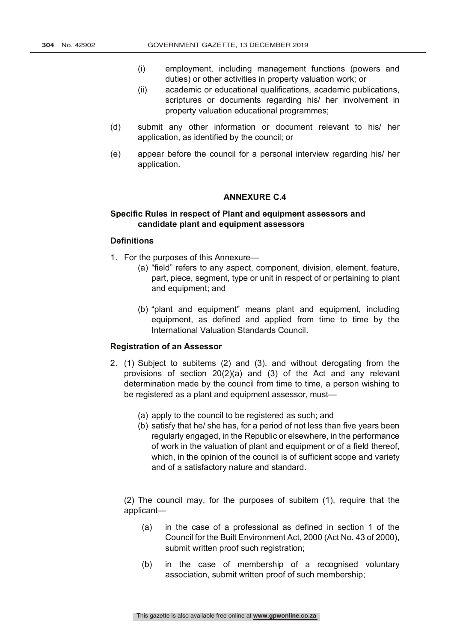- (i) employment, including management functions (powers and duties) or other activities in property valuation work; or
- (ii) academic or educational qualifications, academic publications, scriptures or documents regarding his/ her involvement in property valuation educational programmes;
- (d) submit any other information or document relevant to his/ her application, as identified by the council; or
- (e) appear before the council for a personal interview regarding his/ her application.

## **ANNEXURE C.4**

## **Specific Rules in respect of Plant and equipment assessors and candidate plant and equipment assessors**

# **Definitions**

- 1. For the purposes of this Annexure—
	- (a) "field" refers to any aspect, component, division, element, feature, part, piece, segment, type or unit in respect of or pertaining to plant and equipment; and
	- (b) "plant and equipment" means plant and equipment, including equipment, as defined and applied from time to time by the International Valuation Standards Council.

# **Registration of an Assessor**

- 2. (1) Subject to subitems (2) and (3), and without derogating from the provisions of section 20(2)(a) and (3) of the Act and any relevant determination made by the council from time to time, a person wishing to be registered as a plant and equipment assessor, must—
	- (a) apply to the council to be registered as such; and
	- (b) satisfy that he/ she has, for a period of not less than five years been regularly engaged, in the Republic or elsewhere, in the performance of work in the valuation of plant and equipment or of a field thereof, which, in the opinion of the council is of sufficient scope and variety and of a satisfactory nature and standard.

(2) The council may, for the purposes of subitem (1), require that the applicant—

- (a) in the case of a professional as defined in section 1 of the Council for the Built Environment Act, 2000 (Act No. 43 of 2000), submit written proof such registration;
- (b) in the case of membership of a recognised voluntary association, submit written proof of such membership;